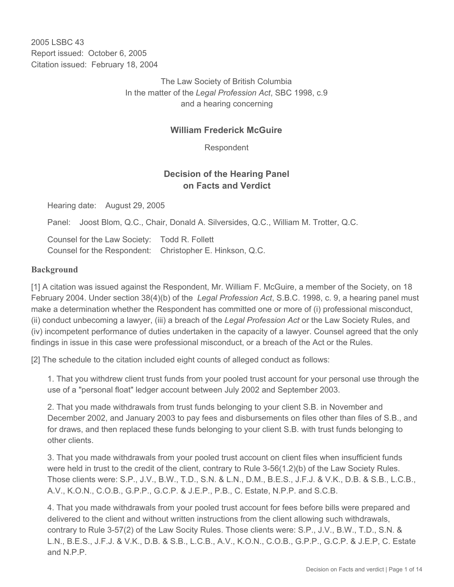2005 LSBC 43 Report issued: October 6, 2005 Citation issued: February 18, 2004

> The Law Society of British Columbia In the matter of the *Legal Profession Act*, SBC 1998, c.9 and a hearing concerning

### **William Frederick McGuire**

Respondent

## **Decision of the Hearing Panel on Facts and Verdict**

Hearing date: August 29, 2005

Panel: Joost Blom, Q.C., Chair, Donald A. Silversides, Q.C., William M. Trotter, Q.C.

Counsel for the Law Society: Todd R. Follett Counsel for the Respondent: Christopher E. Hinkson, Q.C.

#### **Background**

[1] A citation was issued against the Respondent, Mr. William F. McGuire, a member of the Society, on 18 February 2004. Under section 38(4)(b) of the *Legal Profession Act*, S.B.C. 1998, c. 9, a hearing panel must make a determination whether the Respondent has committed one or more of (i) professional misconduct, (ii) conduct unbecoming a lawyer, (iii) a breach of the *Legal Profession Act* or the Law Society Rules, and (iv) incompetent performance of duties undertaken in the capacity of a lawyer. Counsel agreed that the only findings in issue in this case were professional misconduct, or a breach of the Act or the Rules.

[2] The schedule to the citation included eight counts of alleged conduct as follows:

1. That you withdrew client trust funds from your pooled trust account for your personal use through the use of a "personal float" ledger account between July 2002 and September 2003.

2. That you made withdrawals from trust funds belonging to your client S.B. in November and December 2002, and January 2003 to pay fees and disbursements on files other than files of S.B., and for draws, and then replaced these funds belonging to your client S.B. with trust funds belonging to other clients.

3. That you made withdrawals from your pooled trust account on client files when insufficient funds were held in trust to the credit of the client, contrary to Rule 3-56(1.2)(b) of the Law Society Rules. Those clients were: S.P., J.V., B.W., T.D., S.N. & L.N., D.M., B.E.S., J.F.J. & V.K., D.B. & S.B., L.C.B., A.V., K.O.N., C.O.B., G.P.P., G.C.P. & J.E.P., P.B., C. Estate, N.P.P. and S.C.B.

4. That you made withdrawals from your pooled trust account for fees before bills were prepared and delivered to the client and without written instructions from the client allowing such withdrawals, contrary to Rule 3-57(2) of the Law Socity Rules. Those clients were: S.P., J.V., B.W., T.D., S.N. & L.N., B.E.S., J.F.J. & V.K., D.B. & S.B., L.C.B., A.V., K.O.N., C.O.B., G.P.P., G.C.P. & J.E.P, C. Estate and N.P.P.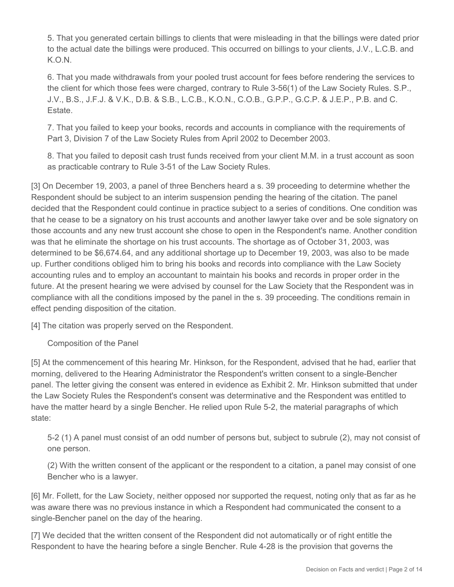5. That you generated certain billings to clients that were misleading in that the billings were dated prior to the actual date the billings were produced. This occurred on billings to your clients, J.V., L.C.B. and K.O.N.

6. That you made withdrawals from your pooled trust account for fees before rendering the services to the client for which those fees were charged, contrary to Rule 3-56(1) of the Law Society Rules. S.P., J.V., B.S., J.F.J. & V.K., D.B. & S.B., L.C.B., K.O.N., C.O.B., G.P.P., G.C.P. & J.E.P., P.B. and C. Estate.

7. That you failed to keep your books, records and accounts in compliance with the requirements of Part 3, Division 7 of the Law Society Rules from April 2002 to December 2003.

8. That you failed to deposit cash trust funds received from your client M.M. in a trust account as soon as practicable contrary to Rule 3-51 of the Law Society Rules.

[3] On December 19, 2003, a panel of three Benchers heard a s. 39 proceeding to determine whether the Respondent should be subject to an interim suspension pending the hearing of the citation. The panel decided that the Respondent could continue in practice subject to a series of conditions. One condition was that he cease to be a signatory on his trust accounts and another lawyer take over and be sole signatory on those accounts and any new trust account she chose to open in the Respondent's name. Another condition was that he eliminate the shortage on his trust accounts. The shortage as of October 31, 2003, was determined to be \$6,674.64, and any additional shortage up to December 19, 2003, was also to be made up. Further conditions obliged him to bring his books and records into compliance with the Law Society accounting rules and to employ an accountant to maintain his books and records in proper order in the future. At the present hearing we were advised by counsel for the Law Society that the Respondent was in compliance with all the conditions imposed by the panel in the s. 39 proceeding. The conditions remain in effect pending disposition of the citation.

[4] The citation was properly served on the Respondent.

Composition of the Panel

[5] At the commencement of this hearing Mr. Hinkson, for the Respondent, advised that he had, earlier that morning, delivered to the Hearing Administrator the Respondent's written consent to a single-Bencher panel. The letter giving the consent was entered in evidence as Exhibit 2. Mr. Hinkson submitted that under the Law Society Rules the Respondent's consent was determinative and the Respondent was entitled to have the matter heard by a single Bencher. He relied upon Rule 5-2, the material paragraphs of which state:

5-2 (1) A panel must consist of an odd number of persons but, subject to subrule (2), may not consist of one person.

(2) With the written consent of the applicant or the respondent to a citation, a panel may consist of one Bencher who is a lawyer.

[6] Mr. Follett, for the Law Society, neither opposed nor supported the request, noting only that as far as he was aware there was no previous instance in which a Respondent had communicated the consent to a single-Bencher panel on the day of the hearing.

[7] We decided that the written consent of the Respondent did not automatically or of right entitle the Respondent to have the hearing before a single Bencher. Rule 4-28 is the provision that governs the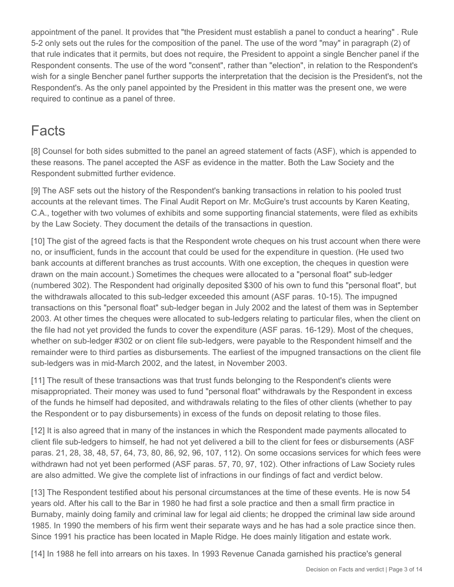appointment of the panel. It provides that "the President must establish a panel to conduct a hearing" . Rule 5-2 only sets out the rules for the composition of the panel. The use of the word "may" in paragraph (2) of that rule indicates that it permits, but does not require, the President to appoint a single Bencher panel if the Respondent consents. The use of the word "consent", rather than "election", in relation to the Respondent's wish for a single Bencher panel further supports the interpretation that the decision is the President's, not the Respondent's. As the only panel appointed by the President in this matter was the present one, we were required to continue as a panel of three.

# Facts

[8] Counsel for both sides submitted to the panel an agreed statement of facts (ASF), which is appended to these reasons. The panel accepted the ASF as evidence in the matter. Both the Law Society and the Respondent submitted further evidence.

[9] The ASF sets out the history of the Respondent's banking transactions in relation to his pooled trust accounts at the relevant times. The Final Audit Report on Mr. McGuire's trust accounts by Karen Keating, C.A., together with two volumes of exhibits and some supporting financial statements, were filed as exhibits by the Law Society. They document the details of the transactions in question.

[10] The gist of the agreed facts is that the Respondent wrote cheques on his trust account when there were no, or insufficient, funds in the account that could be used for the expenditure in question. (He used two bank accounts at different branches as trust accounts. With one exception, the cheques in question were drawn on the main account.) Sometimes the cheques were allocated to a "personal float" sub-ledger (numbered 302). The Respondent had originally deposited \$300 of his own to fund this "personal float", but the withdrawals allocated to this sub-ledger exceeded this amount (ASF paras. 10-15). The impugned transactions on this "personal float" sub-ledger began in July 2002 and the latest of them was in September 2003. At other times the cheques were allocated to sub-ledgers relating to particular files, when the client on the file had not yet provided the funds to cover the expenditure (ASF paras. 16-129). Most of the cheques, whether on sub-ledger #302 or on client file sub-ledgers, were payable to the Respondent himself and the remainder were to third parties as disbursements. The earliest of the impugned transactions on the client file sub-ledgers was in mid-March 2002, and the latest, in November 2003.

[11] The result of these transactions was that trust funds belonging to the Respondent's clients were misappropriated. Their money was used to fund "personal float" withdrawals by the Respondent in excess of the funds he himself had deposited, and withdrawals relating to the files of other clients (whether to pay the Respondent or to pay disbursements) in excess of the funds on deposit relating to those files.

[12] It is also agreed that in many of the instances in which the Respondent made payments allocated to client file sub-ledgers to himself, he had not yet delivered a bill to the client for fees or disbursements (ASF paras. 21, 28, 38, 48, 57, 64, 73, 80, 86, 92, 96, 107, 112). On some occasions services for which fees were withdrawn had not yet been performed (ASF paras. 57, 70, 97, 102). Other infractions of Law Society rules are also admitted. We give the complete list of infractions in our findings of fact and verdict below.

[13] The Respondent testified about his personal circumstances at the time of these events. He is now 54 years old. After his call to the Bar in 1980 he had first a sole practice and then a small firm practice in Burnaby, mainly doing family and criminal law for legal aid clients; he dropped the criminal law side around 1985. In 1990 the members of his firm went their separate ways and he has had a sole practice since then. Since 1991 his practice has been located in Maple Ridge. He does mainly litigation and estate work.

[14] In 1988 he fell into arrears on his taxes. In 1993 Revenue Canada garnished his practice's general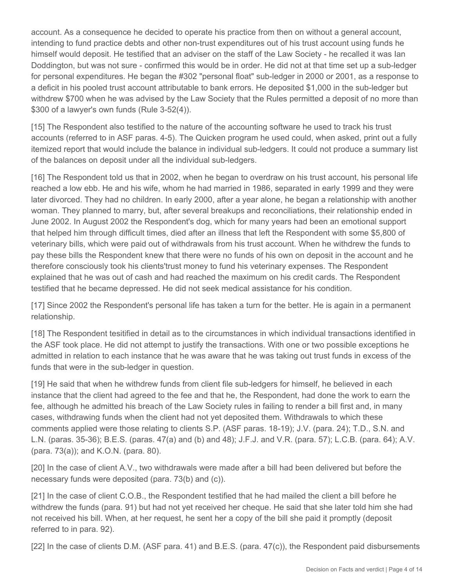account. As a consequence he decided to operate his practice from then on without a general account, intending to fund practice debts and other non-trust expenditures out of his trust account using funds he himself would deposit. He testified that an adviser on the staff of the Law Society - he recalled it was Ian Doddington, but was not sure - confirmed this would be in order. He did not at that time set up a sub-ledger for personal expenditures. He began the #302 "personal float" sub-ledger in 2000 or 2001, as a response to a deficit in his pooled trust account attributable to bank errors. He deposited \$1,000 in the sub-ledger but withdrew \$700 when he was advised by the Law Society that the Rules permitted a deposit of no more than \$300 of a lawyer's own funds (Rule 3-52(4)).

[15] The Respondent also testified to the nature of the accounting software he used to track his trust accounts (referred to in ASF paras. 4-5). The Quicken program he used could, when asked, print out a fully itemized report that would include the balance in individual sub-ledgers. It could not produce a summary list of the balances on deposit under all the individual sub-ledgers.

[16] The Respondent told us that in 2002, when he began to overdraw on his trust account, his personal life reached a low ebb. He and his wife, whom he had married in 1986, separated in early 1999 and they were later divorced. They had no children. In early 2000, after a year alone, he began a relationship with another woman. They planned to marry, but, after several breakups and reconciliations, their relationship ended in June 2002. In August 2002 the Respondent's dog, which for many years had been an emotional support that helped him through difficult times, died after an illness that left the Respondent with some \$5,800 of veterinary bills, which were paid out of withdrawals from his trust account. When he withdrew the funds to pay these bills the Respondent knew that there were no funds of his own on deposit in the account and he therefore consciously took his clients'trust money to fund his veterinary expenses. The Respondent explained that he was out of cash and had reached the maximum on his credit cards. The Respondent testified that he became depressed. He did not seek medical assistance for his condition.

[17] Since 2002 the Respondent's personal life has taken a turn for the better. He is again in a permanent relationship.

[18] The Respondent tesitified in detail as to the circumstances in which individual transactions identified in the ASF took place. He did not attempt to justify the transactions. With one or two possible exceptions he admitted in relation to each instance that he was aware that he was taking out trust funds in excess of the funds that were in the sub-ledger in question.

[19] He said that when he withdrew funds from client file sub-ledgers for himself, he believed in each instance that the client had agreed to the fee and that he, the Respondent, had done the work to earn the fee, although he admitted his breach of the Law Society rules in failing to render a bill first and, in many cases, withdrawing funds when the client had not yet deposited them. Withdrawals to which these comments applied were those relating to clients S.P. (ASF paras. 18-19); J.V. (para. 24); T.D., S.N. and L.N. (paras. 35-36); B.E.S. (paras. 47(a) and (b) and 48); J.F.J. and V.R. (para. 57); L.C.B. (para. 64); A.V. (para. 73(a)); and K.O.N. (para. 80).

[20] In the case of client A.V., two withdrawals were made after a bill had been delivered but before the necessary funds were deposited (para. 73(b) and (c)).

[21] In the case of client C.O.B., the Respondent testified that he had mailed the client a bill before he withdrew the funds (para. 91) but had not yet received her cheque. He said that she later told him she had not received his bill. When, at her request, he sent her a copy of the bill she paid it promptly (deposit referred to in para. 92).

[22] In the case of clients D.M. (ASF para. 41) and B.E.S. (para. 47(c)), the Respondent paid disbursements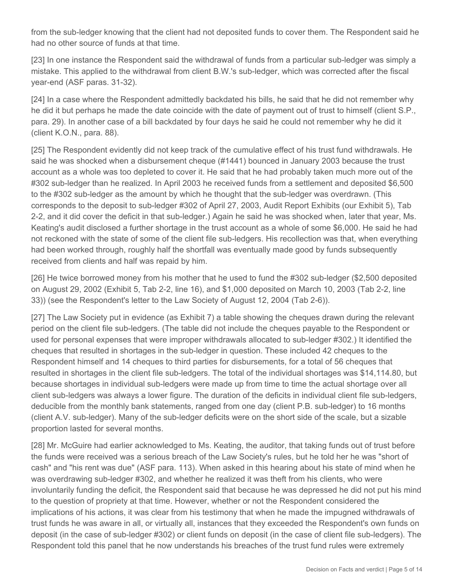from the sub-ledger knowing that the client had not deposited funds to cover them. The Respondent said he had no other source of funds at that time.

[23] In one instance the Respondent said the withdrawal of funds from a particular sub-ledger was simply a mistake. This applied to the withdrawal from client B.W.'s sub-ledger, which was corrected after the fiscal year-end (ASF paras. 31-32).

[24] In a case where the Respondent admittedly backdated his bills, he said that he did not remember why he did it but perhaps he made the date coincide with the date of payment out of trust to himself (client S.P., para. 29). In another case of a bill backdated by four days he said he could not remember why he did it (client K.O.N., para. 88).

[25] The Respondent evidently did not keep track of the cumulative effect of his trust fund withdrawals. He said he was shocked when a disbursement cheque (#1441) bounced in January 2003 because the trust account as a whole was too depleted to cover it. He said that he had probably taken much more out of the #302 sub-ledger than he realized. In April 2003 he received funds from a settlement and deposited \$6,500 to the #302 sub-ledger as the amount by which he thought that the sub-ledger was overdrawn. (This corresponds to the deposit to sub-ledger #302 of April 27, 2003, Audit Report Exhibits (our Exhibit 5), Tab 2-2, and it did cover the deficit in that sub-ledger.) Again he said he was shocked when, later that year, Ms. Keating's audit disclosed a further shortage in the trust account as a whole of some \$6,000. He said he had not reckoned with the state of some of the client file sub-ledgers. His recollection was that, when everything had been worked through, roughly half the shortfall was eventually made good by funds subsequently received from clients and half was repaid by him.

[26] He twice borrowed money from his mother that he used to fund the #302 sub-ledger (\$2,500 deposited on August 29, 2002 (Exhibit 5, Tab 2-2, line 16), and \$1,000 deposited on March 10, 2003 (Tab 2-2, line 33)) (see the Respondent's letter to the Law Society of August 12, 2004 (Tab 2-6)).

[27] The Law Society put in evidence (as Exhibit 7) a table showing the cheques drawn during the relevant period on the client file sub-ledgers. (The table did not include the cheques payable to the Respondent or used for personal expenses that were improper withdrawals allocated to sub-ledger #302.) It identified the cheques that resulted in shortages in the sub-ledger in question. These included 42 cheques to the Respondent himself and 14 cheques to third parties for disbursements, for a total of 56 cheques that resulted in shortages in the client file sub-ledgers. The total of the individual shortages was \$14,114.80, but because shortages in individual sub-ledgers were made up from time to time the actual shortage over all client sub-ledgers was always a lower figure. The duration of the deficits in individual client file sub-ledgers, deducible from the monthly bank statements, ranged from one day (client P.B. sub-ledger) to 16 months (client A.V. sub-ledger). Many of the sub-ledger deficits were on the short side of the scale, but a sizable proportion lasted for several months.

[28] Mr. McGuire had earlier acknowledged to Ms. Keating, the auditor, that taking funds out of trust before the funds were received was a serious breach of the Law Society's rules, but he told her he was "short of cash" and "his rent was due" (ASF para. 113). When asked in this hearing about his state of mind when he was overdrawing sub-ledger #302, and whether he realized it was theft from his clients, who were involuntarily funding the deficit, the Respondent said that because he was depressed he did not put his mind to the question of propriety at that time. However, whether or not the Respondent considered the implications of his actions, it was clear from his testimony that when he made the impugned withdrawals of trust funds he was aware in all, or virtually all, instances that they exceeded the Respondent's own funds on deposit (in the case of sub-ledger #302) or client funds on deposit (in the case of client file sub-ledgers). The Respondent told this panel that he now understands his breaches of the trust fund rules were extremely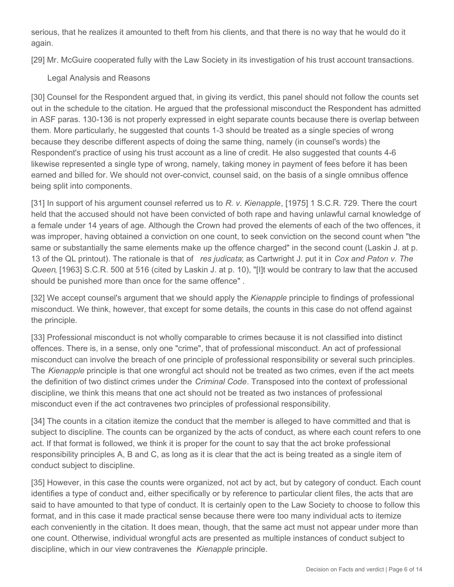serious, that he realizes it amounted to theft from his clients, and that there is no way that he would do it again.

[29] Mr. McGuire cooperated fully with the Law Society in its investigation of his trust account transactions.

Legal Analysis and Reasons

[30] Counsel for the Respondent argued that, in giving its verdict, this panel should not follow the counts set out in the schedule to the citation. He argued that the professional misconduct the Respondent has admitted in ASF paras. 130-136 is not properly expressed in eight separate counts because there is overlap between them. More particularly, he suggested that counts 1-3 should be treated as a single species of wrong because they describe different aspects of doing the same thing, namely (in counsel's words) the Respondent's practice of using his trust account as a line of credit. He also suggested that counts 4-6 likewise represented a single type of wrong, namely, taking money in payment of fees before it has been earned and billed for. We should not over-convict, counsel said, on the basis of a single omnibus offence being split into components.

[31] In support of his argument counsel referred us to *R. v. Kienapple*, [1975] 1 S.C.R. 729. There the court held that the accused should not have been convicted of both rape and having unlawful carnal knowledge of a female under 14 years of age. Although the Crown had proved the elements of each of the two offences, it was improper, having obtained a conviction on one count, to seek conviction on the second count when "the same or substantially the same elements make up the offence charged" in the second count (Laskin J. at p. 13 of the QL printout). The rationale is that of *res judicata*; as Cartwright J. put it in *Cox and Paton v. The Queen*, [1963] S.C.R. 500 at 516 (cited by Laskin J. at p. 10), "[I]t would be contrary to law that the accused should be punished more than once for the same offence" .

[32] We accept counsel's argument that we should apply the *Kienapple* principle to findings of professional misconduct. We think, however, that except for some details, the counts in this case do not offend against the principle.

[33] Professional misconduct is not wholly comparable to crimes because it is not classified into distinct offences. There is, in a sense, only one "crime", that of professional misconduct. An act of professional misconduct can involve the breach of one principle of professional responsibility or several such principles. The *Kienapple* principle is that one wrongful act should not be treated as two crimes, even if the act meets the definition of two distinct crimes under the *Criminal Code*. Transposed into the context of professional discipline, we think this means that one act should not be treated as two instances of professional misconduct even if the act contravenes two principles of professional responsibility.

[34] The counts in a citation itemize the conduct that the member is alleged to have committed and that is subject to discipline. The counts can be organized by the acts of conduct, as where each count refers to one act. If that format is followed, we think it is proper for the count to say that the act broke professional responsibility principles A, B and C, as long as it is clear that the act is being treated as a single item of conduct subject to discipline.

[35] However, in this case the counts were organized, not act by act, but by category of conduct. Each count identifies a type of conduct and, either specifically or by reference to particular client files, the acts that are said to have amounted to that type of conduct. It is certainly open to the Law Society to choose to follow this format, and in this case it made practical sense because there were too many individual acts to itemize each conveniently in the citation. It does mean, though, that the same act must not appear under more than one count. Otherwise, individual wrongful acts are presented as multiple instances of conduct subject to discipline, which in our view contravenes the *Kienapple* principle.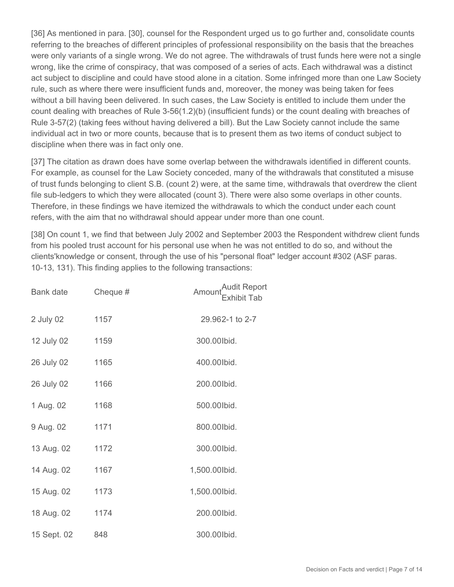[36] As mentioned in para. [30], counsel for the Respondent urged us to go further and, consolidate counts referring to the breaches of different principles of professional responsibility on the basis that the breaches were only variants of a single wrong. We do not agree. The withdrawals of trust funds here were not a single wrong, like the crime of conspiracy, that was composed of a series of acts. Each withdrawal was a distinct act subject to discipline and could have stood alone in a citation. Some infringed more than one Law Society rule, such as where there were insufficient funds and, moreover, the money was being taken for fees without a bill having been delivered. In such cases, the Law Society is entitled to include them under the count dealing with breaches of Rule 3-56(1.2)(b) (insufficient funds) or the count dealing with breaches of Rule 3-57(2) (taking fees without having delivered a bill). But the Law Society cannot include the same individual act in two or more counts, because that is to present them as two items of conduct subject to discipline when there was in fact only one.

[37] The citation as drawn does have some overlap between the withdrawals identified in different counts. For example, as counsel for the Law Society conceded, many of the withdrawals that constituted a misuse of trust funds belonging to client S.B. (count 2) were, at the same time, withdrawals that overdrew the client file sub-ledgers to which they were allocated (count 3). There were also some overlaps in other counts. Therefore, in these findings we have itemized the withdrawals to which the conduct under each count refers, with the aim that no withdrawal should appear under more than one count.

[38] On count 1, we find that between July 2002 and September 2003 the Respondent withdrew client funds from his pooled trust account for his personal use when he was not entitled to do so, and without the clients'knowledge or consent, through the use of his "personal float" ledger account #302 (ASF paras. 10-13, 131). This finding applies to the following transactions:

| Bank date   | Cheque # | "Audit Report<br>Amoun<br><b>Exhibit Tab</b> |
|-------------|----------|----------------------------------------------|
| 2 July 02   | 1157     | 29.962-1 to 2-7                              |
| 12 July 02  | 1159     | 300.00lbid.                                  |
| 26 July 02  | 1165     | 400.00lbid.                                  |
| 26 July 02  | 1166     | 200.00lbid.                                  |
| 1 Aug. 02   | 1168     | 500.00lbid.                                  |
| 9 Aug. 02   | 1171     | 800.00lbid.                                  |
| 13 Aug. 02  | 1172     | 300.00lbid.                                  |
| 14 Aug. 02  | 1167     | 1,500.00lbid.                                |
| 15 Aug. 02  | 1173     | 1,500.00lbid.                                |
| 18 Aug. 02  | 1174     | 200.00lbid.                                  |
| 15 Sept. 02 | 848      | 300.00lbid.                                  |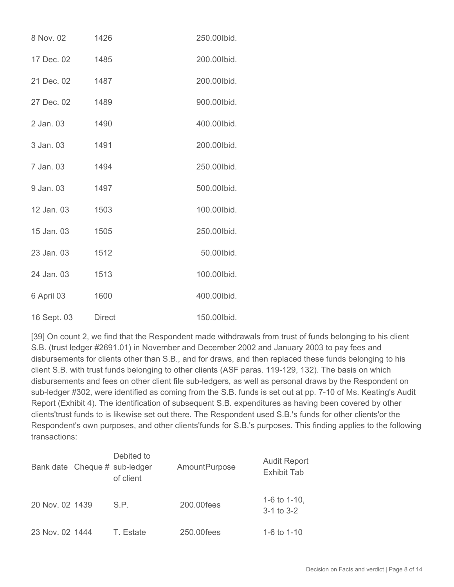| 8 Nov. 02   | 1426          | 250.00lbid. |
|-------------|---------------|-------------|
| 17 Dec. 02  | 1485          | 200.00lbid. |
| 21 Dec. 02  | 1487          | 200.00lbid. |
| 27 Dec. 02  | 1489          | 900.00lbid. |
| 2 Jan. 03   | 1490          | 400.00lbid. |
| 3 Jan. 03   | 1491          | 200.00lbid. |
| 7 Jan. 03   | 1494          | 250.00lbid. |
| 9 Jan. 03   | 1497          | 500.00lbid. |
| 12 Jan. 03  | 1503          | 100.00lbid. |
| 15 Jan. 03  | 1505          | 250.00lbid. |
| 23 Jan. 03  | 1512          | 50.00 lbid. |
| 24 Jan. 03  | 1513          | 100.00lbid. |
| 6 April 03  | 1600          | 400.00lbid. |
| 16 Sept. 03 | <b>Direct</b> | 150.00lbid. |

[39] On count 2, we find that the Respondent made withdrawals from trust of funds belonging to his client S.B. (trust ledger #2691.01) in November and December 2002 and January 2003 to pay fees and disbursements for clients other than S.B., and for draws, and then replaced these funds belonging to his client S.B. with trust funds belonging to other clients (ASF paras. 119-129, 132). The basis on which disbursements and fees on other client file sub-ledgers, as well as personal draws by the Respondent on sub-ledger #302, were identified as coming from the S.B. funds is set out at pp. 7-10 of Ms. Keating's Audit Report (Exhibit 4). The identification of subsequent S.B. expenditures as having been covered by other clients'trust funds to is likewise set out there. The Respondent used S.B.'s funds for other clients'or the Respondent's own purposes, and other clients'funds for S.B.'s purposes. This finding applies to the following transactions:

| Bank date Cheque # sub-ledger | Debited to<br>of client | <b>AmountPurpose</b> | <b>Audit Report</b><br><b>Exhibit Tab</b> |
|-------------------------------|-------------------------|----------------------|-------------------------------------------|
| 20 Nov. 02 1439               | S.P.                    | 200.00fees           | 1-6 to $1-10$ ,<br>$3-1$ to $3-2$         |
| 23 Nov. 02 1444               | T. Estate               | 250.00fees           | 1-6 to $1-10$                             |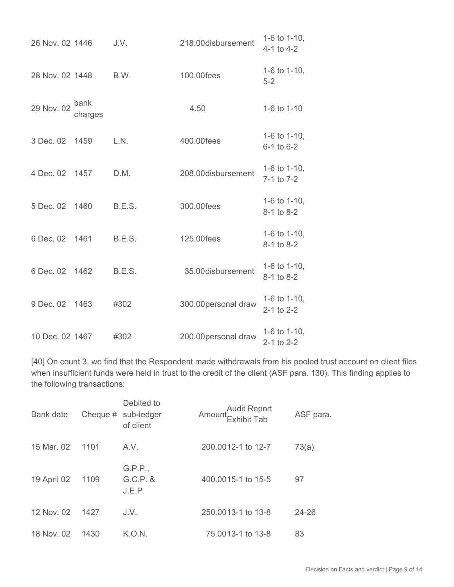| 26 Nov. 02 1446 |                 | J.V.   | 218.00disbursement   | 1-6 to 1-10,<br>$4-1$ to $4-2$     |
|-----------------|-----------------|--------|----------------------|------------------------------------|
| 28 Nov. 02 1448 |                 | B.W.   | 100.00fees           | 1-6 to 1-10,<br>$5 - 2$            |
| 29 Nov. 02      | bank<br>charges |        | 4.50                 | 1-6 to 1-10                        |
| 3 Dec. 02 1459  |                 | L.N.   | 400.00fees           | 1-6 to 1-10,<br>$6-1$ to $6-2$     |
| 4 Dec. 02 1457  |                 | D.M.   | 208.00disbursement   | 1-6 to 1-10,<br>7-1 to 7-2         |
| 5 Dec. 02 1460  |                 | B.E.S. | 300.00fees           | 1-6 to 1-10,<br>8-1 to 8-2         |
| 6 Dec. 02 1461  |                 | B.E.S. | 125.00fees           | 1-6 to 1-10,<br>8-1 to 8-2         |
| 6 Dec. 02 1462  |                 | B.E.S. | 35.00disbursement    | 1-6 to 1-10,<br>8-1 to 8-2         |
| 9 Dec. 02 1463  |                 | #302   | 300.00 personal draw | 1-6 to 1-10,<br>$2 - 1$ to $2 - 2$ |
| 10 Dec. 02 1467 |                 | #302   | 200.00 personal draw | 1-6 to 1-10,<br>2-1 to 2-2         |

[40] On count 3, we find that the Respondent made withdrawals from his pooled trust account on client files when insufficient funds were held in trust to the credit of the client (ASF para. 130). This finding applies to the following transactions:

| <b>Bank date</b> |      | Debited to<br>Cheque $#$ sub-ledger<br>of client | Audit Report<br>Exhibit Tab | ASF para. |
|------------------|------|--------------------------------------------------|-----------------------------|-----------|
| 15 Mar. 02       | 1101 | A.V.                                             | 200.0012-1 to 12-7          | 73(a)     |
| 19 April 02      | 1109 | G.P.P.,<br>$G.C.P.$ &<br>J.E.P.                  | 400,0015-1 to 15-5          | 97        |
| 12 Nov. 02       | 1427 | J.V.                                             | 250,0013-1 to 13-8          | $24 - 26$ |
| 18 Nov. 02       | 1430 | K.O.N.                                           | 75.0013-1 to 13-8           | 83        |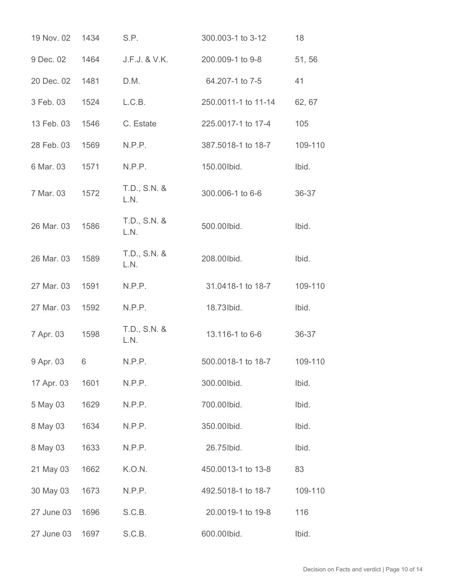| 19 Nov. 02 | 1434 | S.P.                 | 300.003-1 to 3-12   | 18      |
|------------|------|----------------------|---------------------|---------|
| 9 Dec. 02  | 1464 | J.F.J. & V.K.        | 200.009-1 to 9-8    | 51,56   |
| 20 Dec. 02 | 1481 | D.M.                 | 64.207-1 to 7-5     | 41      |
| 3 Feb. 03  | 1524 | L.C.B.               | 250.0011-1 to 11-14 | 62, 67  |
| 13 Feb. 03 | 1546 | C. Estate            | 225.0017-1 to 17-4  | 105     |
| 28 Feb. 03 | 1569 | N.P.P.               | 387.5018-1 to 18-7  | 109-110 |
| 6 Mar. 03  | 1571 | N.P.P.               | 150.00lbid.         | Ibid.   |
| 7 Mar. 03  | 1572 | T.D., S.N. &<br>L.N. | 300.006-1 to 6-6    | 36-37   |
| 26 Mar. 03 | 1586 | T.D., S.N. &<br>L.N. | 500.00lbid.         | Ibid.   |
| 26 Mar. 03 | 1589 | T.D., S.N. &<br>L.N. | 208.00lbid.         | Ibid.   |
| 27 Mar. 03 | 1591 | N.P.P.               | 31.0418-1 to 18-7   | 109-110 |
| 27 Mar. 03 | 1592 | N.P.P.               | 18.73 lbid.         | Ibid.   |
| 7 Apr. 03  | 1598 | T.D., S.N. &<br>L.N. | 13.116-1 to 6-6     | 36-37   |
| 9 Apr. 03  | 6    | N.P.P.               | 500.0018-1 to 18-7  | 109-110 |
| 17 Apr. 03 | 1601 | N.P.P.               | 300.00lbid.         | Ibid.   |
| 5 May 03   | 1629 | N.P.P.               | 700.00lbid.         | Ibid.   |
| 8 May 03   | 1634 | N.P.P.               | 350.00lbid.         | Ibid.   |
| 8 May 03   | 1633 | N.P.P.               | 26.75 lbid.         | Ibid.   |
| 21 May 03  | 1662 | K.O.N.               | 450.0013-1 to 13-8  | 83      |
| 30 May 03  | 1673 | N.P.P.               | 492.5018-1 to 18-7  | 109-110 |
| 27 June 03 | 1696 | S.C.B.               | 20.0019-1 to 19-8   | 116     |
| 27 June 03 | 1697 | S.C.B.               | 600.00lbid.         | Ibid.   |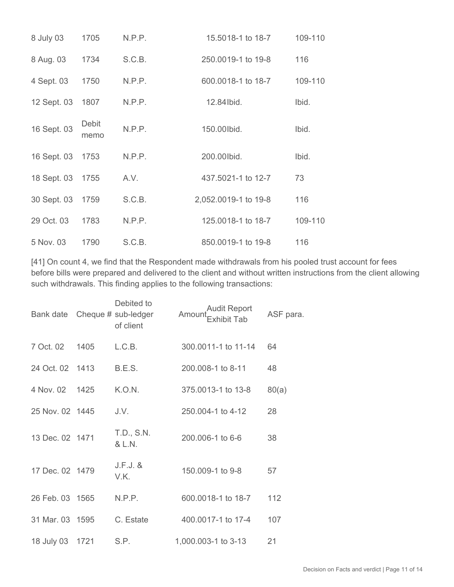| 8 July 03        | 1705          | N.P.P. | 15.5018-1 to 18-7    | 109-110 |
|------------------|---------------|--------|----------------------|---------|
| 8 Aug. 03        | 1734          | S.C.B. | 250.0019-1 to 19-8   | 116     |
| 4 Sept. 03       | 1750          | N.P.P. | 600,0018-1 to 18-7   | 109-110 |
| 12 Sept. 03      | 1807          | N.P.P. | 12.84 lbid.          | Ibid.   |
| 16 Sept. 03      | Debit<br>memo | N.P.P. | 150.00 lbid.         | Ibid.   |
| 16 Sept. 03      | 1753          | N.P.P. | 200.00lbid.          | Ibid.   |
| 18 Sept. 03 1755 |               | A.V.   | 437.5021-1 to 12-7   | 73      |
| 30 Sept. 03 1759 |               | S.C.B. | 2,052.0019-1 to 19-8 | 116     |
| 29 Oct. 03       | 1783          | N.P.P. | 125,0018-1 to 18-7   | 109-110 |
| 5 Nov. 03        | 1790          | S.C.B. | 850.0019-1 to 19-8   | 116     |

[41] On count 4, we find that the Respondent made withdrawals from his pooled trust account for fees before bills were prepared and delivered to the client and without written instructions from the client allowing such withdrawals. This finding applies to the following transactions:

| Bank date Cheque # sub-ledger |      | Debited to<br>of client | Audit Report<br>Amoun<br>.<br>Exhibit Tab | ASF para. |
|-------------------------------|------|-------------------------|-------------------------------------------|-----------|
| 7 Oct. 02                     | 1405 | L.C.B.                  | 300.0011-1 to 11-14                       | 64        |
| 24 Oct. 02 1413               |      | B.E.S.                  | 200.008-1 to 8-11                         | 48        |
| 4 Nov. 02 1425                |      | K.O.N.                  | 375.0013-1 to 13-8                        | 80(a)     |
| 25 Nov. 02 1445               |      | J.V.                    | 250.004-1 to 4-12                         | 28        |
| 13 Dec. 02 1471               |      | T.D., S.N.<br>& L.N.    | 200.006-1 to 6-6                          | 38        |
| 17 Dec. 02 1479               |      | $J.F.J.$ &<br>V.K.      | 150.009-1 to 9-8                          | 57        |
| 26 Feb. 03 1565               |      | N.P.P.                  | 600,0018-1 to 18-7                        | 112       |
| 31 Mar. 03 1595               |      | C. Estate               | 400.0017-1 to 17-4                        | 107       |
| 18 July 03 1721               |      | S.P.                    | 1,000.003-1 to 3-13                       | 21        |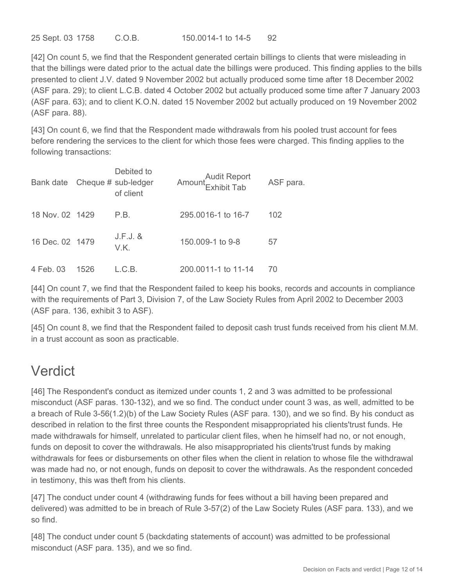25 Sept. 03 1758 C.O.B. 150.0014-1 to 14-5 92

[42] On count 5, we find that the Respondent generated certain billings to clients that were misleading in that the billings were dated prior to the actual date the billings were produced. This finding applies to the bills presented to client J.V. dated 9 November 2002 but actually produced some time after 18 December 2002 (ASF para. 29); to client L.C.B. dated 4 October 2002 but actually produced some time after 7 January 2003 (ASF para. 63); and to client K.O.N. dated 15 November 2002 but actually produced on 19 November 2002 (ASF para. 88).

[43] On count 6, we find that the Respondent made withdrawals from his pooled trust account for fees before rendering the services to the client for which those fees were charged. This finding applies to the following transactions:

| Bank date Cheque # sub-ledger |      | Debited to<br>of client | Audit Report<br>Amount<br>Exhibit Tab | ASF para. |
|-------------------------------|------|-------------------------|---------------------------------------|-----------|
| 18 Nov. 02 1429               |      | P.B.                    | 295,0016-1 to 16-7                    | 102       |
| 16 Dec. 02 1479               |      | $J.F.J.$ $&$<br>V.K.    | 150,009-1 to 9-8                      | 57        |
| 4 Feb. 03                     | 1526 | L.C.B.                  | 200,0011-1 to 11-14                   | 70        |

[44] On count 7, we find that the Respondent failed to keep his books, records and accounts in compliance with the requirements of Part 3, Division 7, of the Law Society Rules from April 2002 to December 2003 (ASF para. 136, exhibit 3 to ASF).

[45] On count 8, we find that the Respondent failed to deposit cash trust funds received from his client M.M. in a trust account as soon as practicable.

# Verdict

[46] The Respondent's conduct as itemized under counts 1, 2 and 3 was admitted to be professional misconduct (ASF paras. 130-132), and we so find. The conduct under count 3 was, as well, admitted to be a breach of Rule 3-56(1.2)(b) of the Law Society Rules (ASF para. 130), and we so find. By his conduct as described in relation to the first three counts the Respondent misappropriated his clients'trust funds. He made withdrawals for himself, unrelated to particular client files, when he himself had no, or not enough, funds on deposit to cover the withdrawals. He also misappropriated his clients'trust funds by making withdrawals for fees or disbursements on other files when the client in relation to whose file the withdrawal was made had no, or not enough, funds on deposit to cover the withdrawals. As the respondent conceded in testimony, this was theft from his clients.

[47] The conduct under count 4 (withdrawing funds for fees without a bill having been prepared and delivered) was admitted to be in breach of Rule 3-57(2) of the Law Society Rules (ASF para. 133), and we so find.

[48] The conduct under count 5 (backdating statements of account) was admitted to be professional misconduct (ASF para. 135), and we so find.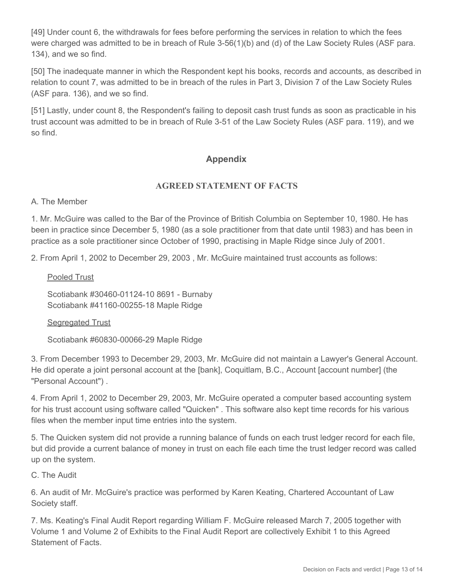[49] Under count 6, the withdrawals for fees before performing the services in relation to which the fees were charged was admitted to be in breach of Rule 3-56(1)(b) and (d) of the Law Society Rules (ASF para. 134), and we so find.

[50] The inadequate manner in which the Respondent kept his books, records and accounts, as described in relation to count 7, was admitted to be in breach of the rules in Part 3, Division 7 of the Law Society Rules (ASF para. 136), and we so find.

[51] Lastly, under count 8, the Respondent's failing to deposit cash trust funds as soon as practicable in his trust account was admitted to be in breach of Rule 3-51 of the Law Society Rules (ASF para. 119), and we so find.

# **Appendix**

### **AGREED STATEMENT OF FACTS**

A. The Member

1. Mr. McGuire was called to the Bar of the Province of British Columbia on September 10, 1980. He has been in practice since December 5, 1980 (as a sole practitioner from that date until 1983) and has been in practice as a sole practitioner since October of 1990, practising in Maple Ridge since July of 2001.

2. From April 1, 2002 to December 29, 2003 , Mr. McGuire maintained trust accounts as follows:

Pooled Trust

Scotiabank #30460-01124-10 8691 - Burnaby Scotiabank #41160-00255-18 Maple Ridge

Segregated Trust

Scotiabank #60830-00066-29 Maple Ridge

3. From December 1993 to December 29, 2003, Mr. McGuire did not maintain a Lawyer's General Account. He did operate a joint personal account at the [bank], Coquitlam, B.C., Account [account number] (the "Personal Account") .

4. From April 1, 2002 to December 29, 2003, Mr. McGuire operated a computer based accounting system for his trust account using software called "Quicken" . This software also kept time records for his various files when the member input time entries into the system.

5. The Quicken system did not provide a running balance of funds on each trust ledger record for each file, but did provide a current balance of money in trust on each file each time the trust ledger record was called up on the system.

C. The Audit

6. An audit of Mr. McGuire's practice was performed by Karen Keating, Chartered Accountant of Law Society staff.

7. Ms. Keating's Final Audit Report regarding William F. McGuire released March 7, 2005 together with Volume 1 and Volume 2 of Exhibits to the Final Audit Report are collectively Exhibit 1 to this Agreed Statement of Facts.